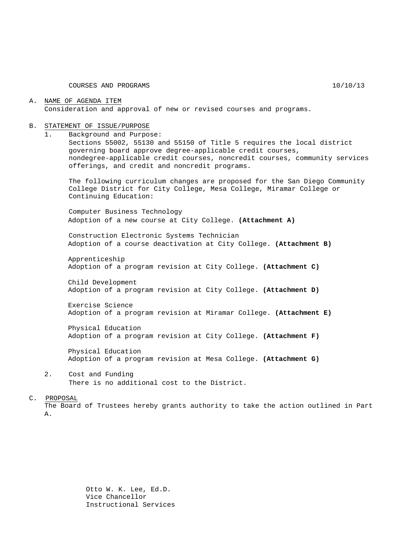COURSES AND PROGRAMS 10/10/13

#### A. NAME OF AGENDA ITEM Consideration and approval of new or revised courses and programs.

#### B. STATEMENT OF ISSUE/PURPOSE

1. Background and Purpose:

Sections 55002, 55130 and 55150 of Title 5 requires the local district governing board approve degree-applicable credit courses, nondegree-applicable credit courses, noncredit courses, community services offerings, and credit and noncredit programs.

The following curriculum changes are proposed for the San Diego Community College District for City College, Mesa College, Miramar College or Continuing Education:

Computer Business Technology Adoption of a new course at City College. **(Attachment A)**

Construction Electronic Systems Technician Adoption of a course deactivation at City College. **(Attachment B)**

Apprenticeship Adoption of a program revision at City College. **(Attachment C)**

Child Development Adoption of a program revision at City College. **(Attachment D)**

Exercise Science Adoption of a program revision at Miramar College. **(Attachment E)**

Physical Education Adoption of a program revision at City College. **(Attachment F)**

Physical Education Adoption of a program revision at Mesa College. **(Attachment G)**

2. Cost and Funding There is no additional cost to the District.

#### C. PROPOSAL

The Board of Trustees hereby grants authority to take the action outlined in Part A.

> Otto W. K. Lee, Ed.D. Vice Chancellor Instructional Services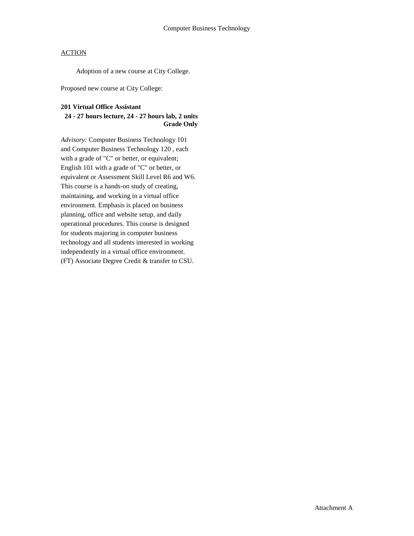Adoption of a new course at City College.

Proposed new course at City College:

#### **201 Virtual Office Assistant**

### **24 - 27 hours lecture, 24 - 27 hours lab, 2 units Grade Only**

*Advisory:* Computer Business Technology 101 and Computer Business Technology 120 , each with a grade of "C" or better, or equivalent; English 101 with a grade of "C" or better, or equivalent or Assessment Skill Level R6 and W6. This course is a hands-on study of creating, maintaining, and working in a virtual office environment. Emphasis is placed on business planning, office and website setup, and daily operational procedures. This course is designed for students majoring in computer business technology and all students interested in working independently in a virtual office environment. (FT) Associate Degree Credit & transfer to CSU.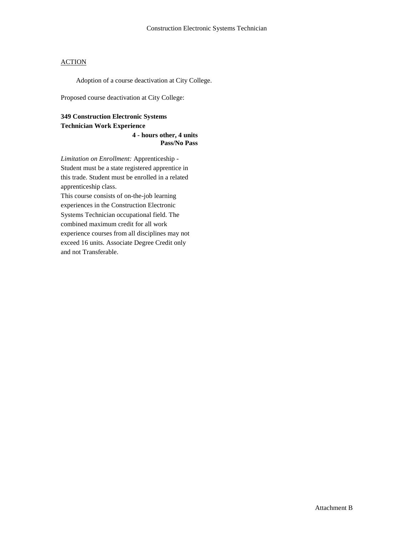Adoption of a course deactivation at City College.

Proposed course deactivation at City College:

## **349 Construction Electronic Systems Technician Work Experience**

**4 - hours other, 4 units Pass/No Pass** 

*Limitation on Enrollment:* Apprenticeship - Student must be a state registered apprentice in this trade. Student must be enrolled in a related apprenticeship class.

This course consists of on-the-job learning experiences in the Construction Electronic Systems Technician occupational field. The combined maximum credit for all work experience courses from all disciplines may not exceed 16 units. Associate Degree Credit only and not Transferable.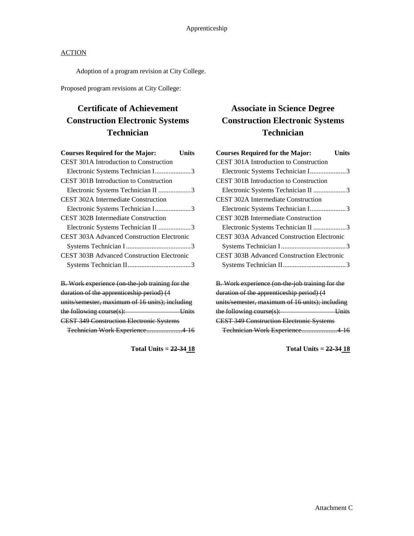Adoption of a program revision at City College.

Proposed program revisions at City College:

# **Certificate of Achievement Construction Electronic Systems Technician**

| Units                                             |
|---------------------------------------------------|
|                                                   |
| Electronic Systems Technician I3                  |
|                                                   |
| Electronic Systems Technician II 3                |
|                                                   |
| Electronic Systems Technician I3                  |
|                                                   |
| Electronic Systems Technician II 3                |
| <b>CEST 303A Advanced Construction Electronic</b> |
|                                                   |
| <b>CEST 303B Advanced Construction Electronic</b> |
|                                                   |
|                                                   |

| B. Work experience (on the job training for the |                                 |
|-------------------------------------------------|---------------------------------|
| duration of the apprenticeship period) (4       |                                 |
| units/semester, maximum of 16 units); including |                                 |
| the following course $(s)$ :                    | $\overline{\phantom{a}}$ limits |
| <b>CEST 349 Construction Electronic Systems</b> |                                 |
| Technician Work Experience4 16                  |                                 |

**Total Units = 22-34 18**

## **Associate in Science Degree Construction Electronic Systems Technician**

| <b>Courses Required for the Major:</b>            | <b>Units</b> |
|---------------------------------------------------|--------------|
| <b>CEST 301A Introduction to Construction</b>     |              |
| Electronic Systems Technician I3                  |              |
| <b>CEST 301B Introduction to Construction</b>     |              |
| Electronic Systems Technician II 3                |              |
| <b>CEST 302A Intermediate Construction</b>        |              |
| Electronic Systems Technician I3                  |              |
| <b>CEST 302B Intermediate Construction</b>        |              |
| Electronic Systems Technician II 3                |              |
| <b>CEST 303A Advanced Construction Electronic</b> |              |
|                                                   |              |
| CEST 303B Advanced Construction Electronic        |              |
|                                                   |              |
|                                                   |              |
| B. Work experience (on the job training for the   |              |
| duration of the apprenticeship period) (4         |              |
|                                                   |              |

units/semester, maximum of 16 units); including the following course(s): Units CEST 349 Construction Electronic Systems Technician Work Experience.....................4-16

**Total Units = 22-34 18**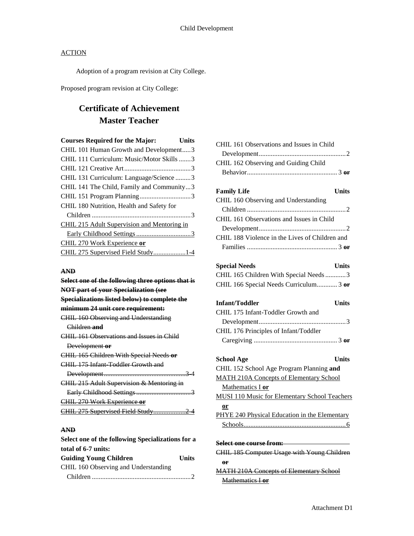Adoption of a program revision at City College.

Proposed program revision at City College:

# **Certificate of Achievement Master Teacher**

| <b>Courses Required for the Major:</b>      | <b>Units</b> |
|---------------------------------------------|--------------|
| CHIL 101 Human Growth and Development3      |              |
| CHIL 111 Curriculum: Music/Motor Skills 3   |              |
|                                             |              |
| CHIL 131 Curriculum: Language/Science 3     |              |
| CHIL 141 The Child, Family and Community3   |              |
|                                             |              |
| CHIL 180 Nutrition, Health and Safety for   |              |
|                                             |              |
| CHIL 215 Adult Supervision and Mentoring in |              |
|                                             |              |
| CHIL 270 Work Experience or                 |              |
| CHIL 275 Supervised Field Study1-4          |              |

#### **AND**

| Select one of the following three options that is |
|---------------------------------------------------|
| <b>NOT part of your Specialization (see</b>       |
| Specializations listed below) to complete the     |
| minimum 24 unit core requirement:                 |
| CHIL 160 Observing and Understanding              |
| Children and                                      |
| CHIL 161 Observations and Issues in Child         |
| Development or                                    |
| <b>CHIL 165 Children With Special Needs or</b>    |
| CHIL 175 Infant Toddler Growth and                |
|                                                   |
| CHIL 215 Adult Supervision & Mentoring in         |
|                                                   |
| CHIL 270 Work Experience or                       |
| CHIL 275 Supervised Field Study2 4                |
|                                                   |

## **AND**

| Select one of the following Specializations for a |       |
|---------------------------------------------------|-------|
| total of 6-7 units:                               |       |
| <b>Guiding Young Children</b>                     | Units |
| CHIL 160 Observing and Understanding              |       |
|                                                   |       |

| CHIL 161 Observations and Issues in Child            |
|------------------------------------------------------|
|                                                      |
| CHIL 162 Observing and Guiding Child                 |
|                                                      |
|                                                      |
| <b>Family Life</b><br><b>Units</b>                   |
| CHIL 160 Observing and Understanding                 |
|                                                      |
| CHIL 161 Observations and Issues in Child            |
|                                                      |
| CHIL 188 Violence in the Lives of Children and       |
|                                                      |
|                                                      |
| <b>Special Needs</b><br><b>Units</b>                 |
| CHIL 165 Children With Special Needs 3               |
| CHIL 166 Special Needs Curriculum 3 or               |
|                                                      |
| Infant/Toddler<br><b>Units</b>                       |
| CHIL 175 Infant-Toddler Growth and                   |
|                                                      |
| CHIL 176 Principles of Infant/Toddler                |
|                                                      |
|                                                      |
| <b>School Age</b><br><b>Units</b>                    |
| CHIL 152 School Age Program Planning and             |
| <b>MATH 210A Concepts of Elementary School</b>       |
| Mathematics I or                                     |
| <b>MUSI 110 Music for Elementary School Teachers</b> |
| or                                                   |
| PHYE 240 Physical Education in the Elementary        |
|                                                      |
|                                                      |
| Select one course from:                              |
| CHIL 185 Computer Usage with Young Children          |
| 0 <sup>r</sup>                                       |
| <b>MATH 210A Concepts of Elementary School</b>       |
| Mathematics I or                                     |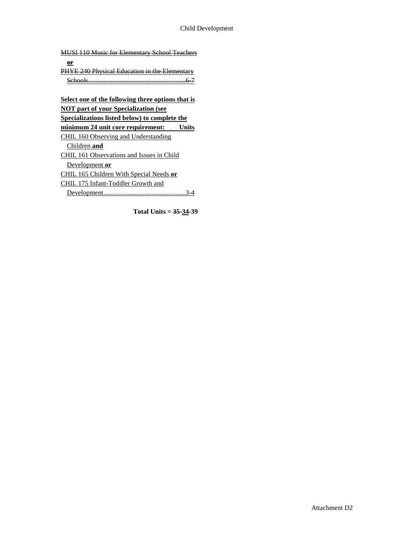MUSI 110 Music for Elementary School Teachers **or** PHYE 240 Physical Education in the Elementary Schools.........................................................6-7 **Select one of the following three options that is NOT part of your Specialization (see Specializations listed below) to complete the minimum 24 unit core requirement: Units** CHIL 160 Observing and Understanding Children **and** CHIL 161 Observations and Issues in Child Development **or** CHIL 165 Children With Special Needs **or** CHIL 175 Infant-Toddler Growth and Development................................................3-4

**Total Units = 35-34-39**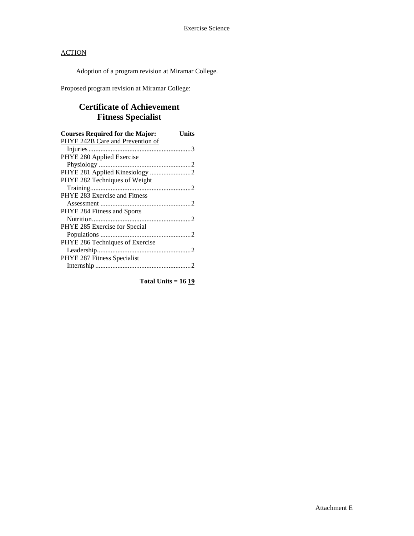Adoption of a program revision at Miramar College.

Proposed program revision at Miramar College:

## **Certificate of Achievement Fitness Specialist**

| <b>Courses Required for the Major:</b> | Units |
|----------------------------------------|-------|
| PHYE 242B Care and Prevention of       |       |
|                                        |       |
| PHYE 280 Applied Exercise              |       |
|                                        |       |
| PHYE 281 Applied Kinesiology 2         |       |
| PHYE 282 Techniques of Weight          |       |
|                                        |       |
| PHYE 283 Exercise and Fitness          |       |
|                                        |       |
| PHYE 284 Fitness and Sports            |       |
|                                        |       |
| PHYE 285 Exercise for Special          |       |
|                                        |       |
| PHYE 286 Techniques of Exercise        |       |
|                                        |       |
| PHYE 287 Fitness Specialist            |       |
|                                        |       |

**Total Units = 16 19**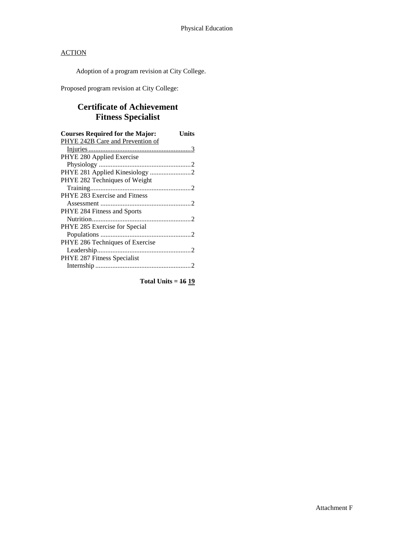Adoption of a program revision at City College.

Proposed program revision at City College:

## **Certificate of Achievement Fitness Specialist**

| <b>Courses Required for the Major:</b> | Units |
|----------------------------------------|-------|
| PHYE 242B Care and Prevention of       |       |
|                                        |       |
| PHYE 280 Applied Exercise              |       |
|                                        |       |
|                                        |       |
| PHYE 282 Techniques of Weight          |       |
|                                        |       |
| PHYE 283 Exercise and Fitness          |       |
|                                        |       |
| PHYE 284 Fitness and Sports            |       |
|                                        |       |
| PHYE 285 Exercise for Special          |       |
|                                        |       |
| PHYE 286 Techniques of Exercise        |       |
|                                        |       |
| PHYE 287 Fitness Specialist            |       |
|                                        |       |

**Total Units = 16 19**